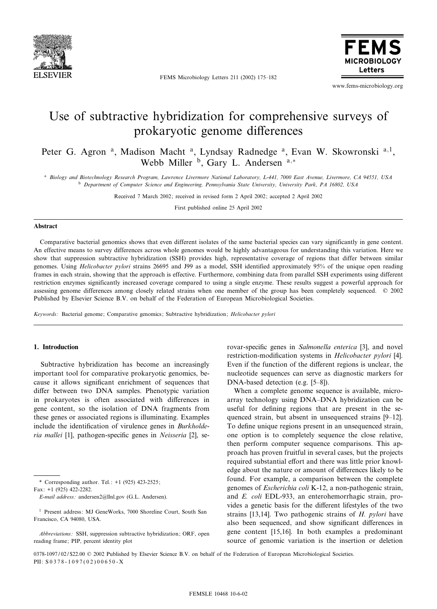

FEMS Microbiology Letters 211 (2002) 175-182



www.fems-microbiology.org

# Use of subtractive hybridization for comprehensive surveys of prokaryotic genome differences

Peter G. Agron<sup>a</sup>, Madison Macht<sup>a</sup>, Lyndsay Radnedge<sup>a</sup>, Evan W. Skowronski<sup>a,1</sup>, Webb Miller  $\overset{b}{\cdot}$  Gary L. Andersen  $a,*$ 

<sup>a</sup> Biology and Biotechnology Research Program, Lawrence Livermore National Laboratory, L-441, 7000 East Avenue, Livermore, CA 94551, USA <sup>b</sup> Department of Computer Science and Engineering, Pennsylvania State University, University Park, PA 16802, USA

Received 7 March 2002; received in revised form 2 April 2002; accepted 2 April 2002

First published online 25 April 2002

# Abstract

Comparative bacterial genomics shows that even different isolates of the same bacterial species can vary significantly in gene content. An effective means to survey differences across whole genomes would be highly advantageous for understanding this variation. Here we show that suppression subtractive hybridization (SSH) provides high, representative coverage of regions that differ between similar genomes. Using *Helicobacter pylori* strains 26695 and J99 as a model, SSH identified approximately 95% of the unique open reading frames in each strain, showing that the approach is effective. Furthermore, combining data from parallel SSH experiments using different restriction enzymes significantly increased coverage compared to using a single enzyme. These results suggest a powerful approach for assessing genome differences among closely related strains when one member of the group has been completely sequenced. © 2002 Published by Elsevier Science B.V. on behalf of the Federation of European Microbiological Societies.

Keywords: Bacterial genome; Comparative genomics; Subtractive hybridization; Helicobacter pylori

## 1. Introduction

Subtractive hybridization has become an increasingly important tool for comparative prokaryotic genomics, because it allows significant enrichment of sequences that differ between two DNA samples. Phenotypic variation in prokaryotes is often associated with differences in gene content, so the isolation of DNA fragments from these genes or associated regions is illuminating. Examples include the identification of virulence genes in Burkholderia mallei [1], pathogen-specific genes in Neisseria [2], se-

\* Corresponding author. Tel.: +1 (925) 423-2525; Fax: +1 (925) 422-2282.

E-mail address: andersen2@llnl.gov (G.L. Andersen).

Abbreviations: SSH, suppression subtractive hybridization; ORF, open reading frame; PIP, percent identity plot

rovar-specific genes in Salmonella enterica [3], and novel restriction-modification systems in Helicobacter pylori [4]. Even if the function of the different regions is unclear, the nucleotide sequences can serve as diagnostic markers for DNA-based detection (e.g. [5-8]).

When a complete genome sequence is available, microarray technology using DNA-DNA hybridization can be useful for defining regions that are present in the sequenced strain, but absent in unsequenced strains [9-12]. To define unique regions present in an unsequenced strain, one option is to completely sequence the close relative, then perform computer sequence comparisons. This approach has proven fruitful in several cases, but the projects required substantial effort and there was little prior knowledge about the nature or amount of differences likely to be found. For example, a comparison between the complete genomes of Escherichia coli K-12, a non-pathogenic strain, and E. coli EDL-933, an enterohemorrhagic strain, provides a genetic basis for the different lifestyles of the two strains [13,14]. Two pathogenic strains of H. pylori have also been sequenced, and show significant differences in gene content [15,16]. In both examples a predominant source of genomic variation is the insertion or deletion

<sup>1</sup> Present address: MJ GeneWorks, 7000 Shoreline Court, South San Francisco, CA 94080, USA.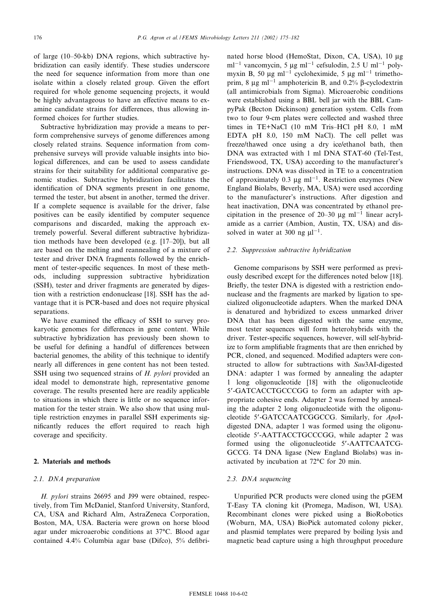of large (10-50-kb) DNA regions, which subtractive hybridization can easily identify. These studies underscore the need for sequence information from more than one isolate within a closely related group. Given the effort required for whole genome sequencing projects, it would be highly advantageous to have an effective means to examine candidate strains for differences, thus allowing informed choices for further studies.

Subtractive hybridization may provide a means to perform comprehensive surveys of genome differences among closely related strains. Sequence information from comprehensive surveys will provide valuable insights into biological differences, and can be used to assess candidate strains for their suitability for additional comparative genomic studies. Subtractive hybridization facilitates the identification of DNA segments present in one genome, termed the tester, but absent in another, termed the driver. If a complete sequence is available for the driver, false positives can be easily identified by computer sequence comparisons and discarded, making the approach extremely powerful. Several different subtractive hybridization methods have been developed (e.g.  $[17-20]$ ), but all are based on the melting and reannealing of a mixture of tester and driver DNA fragments followed by the enrichment of tester-specific sequences. In most of these methods, including suppression subtractive hybridization (SSH), tester and driver fragments are generated by digestion with a restriction endonuclease [18]. SSH has the advantage that it is PCR-based and does not require physical separations.

We have examined the efficacy of SSH to survey prokaryotic genomes for differences in gene content. While subtractive hybridization has previously been shown to be useful for defining a handful of differences between bacterial genomes, the ability of this technique to identify nearly all differences in gene content has not been tested. SSH using two sequenced strains of H. pylori provided an ideal model to demonstrate high, representative genome coverage. The results presented here are readily applicable to situations in which there is little or no sequence information for the tester strain. We also show that using multiple restriction enzymes in parallel SSH experiments significantly reduces the effort required to reach high coverage and specificity.

# 2. Materials and methods

#### 2.1. DNA preparation

H. pylori strains 26695 and J99 were obtained, respectively, from Tim McDaniel, Stanford University, Stanford, CA, USA and Richard Alm, AstraZeneca Corporation, Boston, MA, USA. Bacteria were grown on horse blood agar under microaerobic conditions at 37°C. Blood agar contained 4.4% Columbia agar base (Difco), 5% defibrinated horse blood (HemoStat, Dixon, CA, USA), 10 µg ml<sup>-1</sup> vancomycin, 5 µg ml<sup>-1</sup> cefsulodin, 2.5 U ml<sup>-1</sup> polymyxin B, 50  $\mu$ g ml<sup>-1</sup> cycloheximide, 5  $\mu$ g ml<sup>-1</sup> trimethoprim, 8  $\mu$ g ml<sup>-1</sup> amphotericin B, and 0.2% β-cyclodextrin (all antimicrobials from Sigma). Microaerobic conditions were established using a BBL bell jar with the BBL CampyPak (Becton Dickinson) generation system. Cells from two to four 9-cm plates were collected and washed three times in TE+NaCl (10 mM Tris-HCl pH 8.0, 1 mM EDTA pH 8.0, 150 mM NaCl). The cell pellet was freeze/thawed once using a dry ice/ethanol bath, then DNA was extracted with 1 ml DNA STAT-60 (Tel-Test, Friendswood, TX, USA) according to the manufacturer's instructions. DNA was dissolved in TE to a concentration of approximately 0.3  $\mu$ g ml<sup>-1</sup>. Restriction enzymes (New England Biolabs, Beverly, MA, USA) were used according to the manufacturer's instructions. After digestion and heat inactivation, DNA was concentrated by ethanol precipitation in the presence of 20-30  $\mu$ g ml<sup>-1</sup> linear acrylamide as a carrier (Ambion, Austin, TX, USA) and dissolved in water at 300 ng  $\mu l^{-1}$ .

#### 2.2. Suppression subtractive hybridization

Genome comparisons by SSH were performed as previously described except for the differences noted below [18]. Briefly, the tester DNA is digested with a restriction endonuclease and the fragments are marked by ligation to specialized oligonucleotide adapters. When the marked DNA is denatured and hybridized to excess unmarked driver DNA that has been digested with the same enzyme, most tester sequences will form heterohybrids with the driver. Tester-specific sequences, however, will self-hybridize to form amplifiable fragments that are then enriched by PCR, cloned, and sequenced. Modified adapters were constructed to allow for subtractions with Sau3AI-digested DNA: adapter 1 was formed by annealing the adapter 1 long oligonucleotide [18] with the oligonucleotide 5'-GATCACCTGCCCGG to form an adapter with appropriate cohesive ends. Adapter 2 was formed by annealing the adapter 2 long oligonucleotide with the oligonucleotide 5'-GATCCAATCGGCCG. Similarly, for ApoIdigested DNA, adapter 1 was formed using the oligonucleotide 5'-AATTACCTGCCCGG, while adapter 2 was formed using the oligonucleotide 5'-AATTCAATCG-GCCG. T4 DNA ligase (New England Biolabs) was inactivated by incubation at 72°C for 20 min.

#### 2.3. DNA sequencing

Unpurified PCR products were cloned using the pGEM T-Easy TA cloning kit (Promega, Madison, WI, USA). Recombinant clones were picked using a BioRobotics (Woburn, MA, USA) BioPick automated colony picker, and plasmid templates were prepared by boiling lysis and magnetic bead capture using a high throughput procedure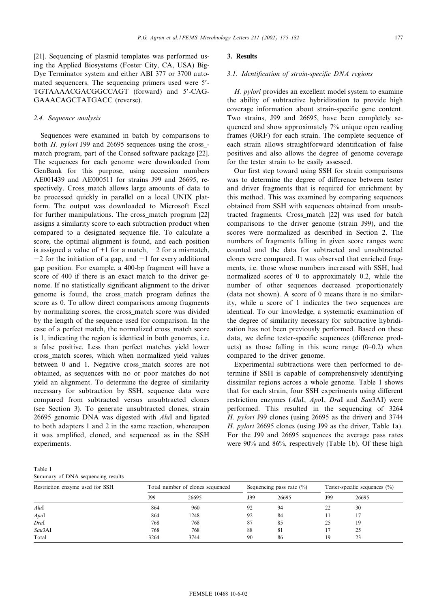[21]. Sequencing of plasmid templates was performed using the Applied Biosystems (Foster City, CA, USA) Big-Dye Terminator system and either ABI 377 or 3700 automated sequencers. The sequencing primers used were 5'-TGTAAAACGACGGCCAGT (forward) and 5'-CAG-GAAACAGCTATGACC (reverse).

#### 2.4. Sequence analysis

Sequences were examined in batch by comparisons to both H. pylori J99 and 26695 sequences using the cross\_ match program, part of the Consed software package [22]. The sequences for each genome were downloaded from GenBank for this purpose, using accession numbers AE001439 and AE000511 for strains J99 and 26695, respectively. Cross\_match allows large amounts of data to be processed quickly in parallel on a local UNIX platform. The output was downloaded to Microsoft Excel for further manipulations. The cross\_match program [22] assigns a similarity score to each subtraction product when compared to a designated sequence file. To calculate a score, the optimal alignment is found, and each position is assigned a value of  $+1$  for a match,  $-2$  for a mismatch,  $-2$  for the initiation of a gap, and  $-1$  for every additional gap position. For example, a 400-bp fragment will have a score of 400 if there is an exact match to the driver genome. If no statistically significant alignment to the driver genome is found, the cross match program defines the score as 0. To allow direct comparisons among fragments by normalizing scores, the cross\_match score was divided by the length of the sequence used for comparison. In the case of a perfect match, the normalized cross\_match score is 1, indicating the region is identical in both genomes, i.e. a false positive. Less than perfect matches yield lower cross\_match scores, which when normalized yield values between 0 and 1. Negative cross match scores are not obtained, as sequences with no or poor matches do not yield an alignment. To determine the degree of similarity necessary for subtraction by SSH, sequence data were compared from subtracted versus unsubtracted clones (see Section 3). To generate unsubtracted clones, strain 26695 genomic DNA was digested with AluI and ligated to both adapters 1 and 2 in the same reaction, whereupon it was amplified, cloned, and sequenced as in the SSH experiments.

### 3. Results

# 3.1. Identification of strain-specific DNA regions

H. pylori provides an excellent model system to examine the ability of subtractive hybridization to provide high coverage information about strain-specific gene content. Two strains, J99 and 26695, have been completely sequenced and show approximately 7% unique open reading frames (ORF) for each strain. The complete sequence of each strain allows straightforward identification of false positives and also allows the degree of genome coverage for the tester strain to be easily assessed.

Our first step toward using SSH for strain comparisons was to determine the degree of difference between tester and driver fragments that is required for enrichment by this method. This was examined by comparing sequences obtained from SSH with sequences obtained from unsubtracted fragments. Cross\_match [22] was used for batch comparisons to the driver genome (strain J99), and the scores were normalized as described in Section 2. The numbers of fragments falling in given score ranges were counted and the data for subtracted and unsubtracted clones were compared. It was observed that enriched fragments, i.e. those whose numbers increased with SSH, had normalized scores of 0 to approximately 0.2, while the number of other sequences decreased proportionately (data not shown). A score of 0 means there is no similarity, while a score of 1 indicates the two sequences are identical. To our knowledge, a systematic examination of the degree of similarity necessary for subtractive hybridization has not been previously performed. Based on these data, we define tester-specific sequences (difference products) as those falling in this score range  $(0-0.2)$  when compared to the driver genome.

Experimental subtractions were then performed to determine if SSH is capable of comprehensively identifying dissimilar regions across a whole genome. Table 1 shows that for each strain, four SSH experiments using different restriction enzymes (AluI, ApoI, DraI and Sau3AI) were performed. This resulted in the sequencing of 3264 H. pylori J99 clones (using 26695 as the driver) and 3744 H. pylori 26695 clones (using J99 as the driver, Table 1a). For the J99 and 26695 sequences the average pass rates were 90% and 86%, respectively (Table 1b). Of these high

| Table 1 |  |                                   |  |
|---------|--|-----------------------------------|--|
|         |  | Summary of DNA sequencing results |  |

| Restriction enzyme used for SSH | Total number of clones sequenced |       | Sequencing pass rate $(\% )$ |       | Tester-specific sequences $(\%)$ |       |
|---------------------------------|----------------------------------|-------|------------------------------|-------|----------------------------------|-------|
|                                 | J99                              | 26695 | J99                          | 26695 | J99                              | 26695 |
| AluI                            | 864                              | 960   | 92                           | 94    | 22                               | 30    |
| Apol                            | 864                              | 1248  | 92                           | 84    |                                  |       |
| DraI                            | 768                              | 768   | 87                           | 85    | 25                               | 19    |
| Sau3AI                          | 768                              | 768   | 88                           | 81    |                                  | 25    |
| Total                           | 3264                             | 3744  | 90                           | 86    | 19                               | 23    |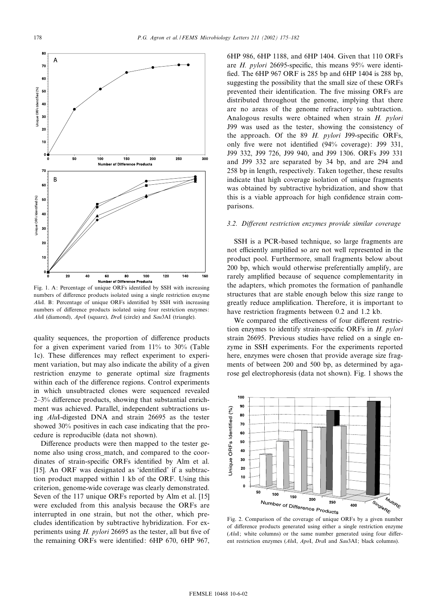

Fig. 1. A: Percentage of unique ORFs identified by SSH with increasing numbers of difference products isolated using a single restriction enzyme  $AluI$ . B: Percentage of unique ORFs identified by SSH with increasing numbers of difference products isolated using four restriction enzymes: AluI (diamond), ApoI (square), DraI (circle) and Sau3AI (triangle).

quality sequences, the proportion of difference products for a given experiment varied from 11% to 30% (Table 1c). These differences may reflect experiment to experiment variation, but may also indicate the ability of a given restriction enzyme to generate optimal size fragments within each of the difference regions. Control experiments in which unsubtracted clones were sequenced revealed  $2-3%$  difference products, showing that substantial enrichment was achieved. Parallel, independent subtractions using AluI-digested DNA and strain 26695 as the tester showed 30% positives in each case indicating that the procedure is reproducible (data not shown).

Difference products were then mapped to the tester genome also using cross\_match, and compared to the coordinates of strain-specific ORFs identified by Alm et al.  $[15]$ . An ORF was designated as 'identified' if a subtraction product mapped within 1 kb of the ORF. Using this criterion, genome-wide coverage was clearly demonstrated. Seven of the 117 unique ORFs reported by Alm et al. [15] were excluded from this analysis because the ORFs are interrupted in one strain, but not the other, which precludes identification by subtractive hybridization. For experiments using  $H$ . *pylori* 26695 as the tester, all but five of the remaining ORFs were identified: 6HP 670, 6HP 967,

6HP 986, 6HP 1188, and 6HP 1404. Given that 110 ORFs are  $H.$  pylori 26695-specific, this means 95% were identified. The 6HP 967 ORF is 285 bp and 6HP 1404 is 288 bp, suggesting the possibility that the small size of these ORFs prevented their identification. The five missing ORFs are distributed throughout the genome, implying that there are no areas of the genome refractory to subtraction. Analogous results were obtained when strain H. pylori J99 was used as the tester, showing the consistency of the approach. Of the  $89$  H. pylori J99-specific ORFs, only five were not identified (94% coverage): J99 331, J99 332, J99 726, J99 940, and J99 1306. ORFs J99 331 and J99 332 are separated by 34 bp, and are 294 and 258 bp in length, respectively. Taken together, these results indicate that high coverage isolation of unique fragments was obtained by subtractive hybridization, and show that this is a viable approach for high confidence strain comparisons.

# 3.2. Different restriction enzymes provide similar coverage

SSH is a PCR-based technique, so large fragments are not efficiently amplified so are not well represented in the product pool. Furthermore, small fragments below about 200 bp, which would otherwise preferentially amplify, are rarely amplified because of sequence complementarity in the adapters, which promotes the formation of panhandle structures that are stable enough below this size range to greatly reduce amplification. Therefore, it is important to have restriction fragments between 0.2 and 1.2 kb.

We compared the effectiveness of four different restriction enzymes to identify strain-specific ORFs in  $H.$  pylori strain 26695. Previous studies have relied on a single enzyme in SSH experiments. For the experiments reported here, enzymes were chosen that provide average size fragments of between 200 and 500 bp, as determined by agarose gel electrophoresis (data not shown). Fig. 1 shows the



Fig. 2. Comparison of the coverage of unique ORFs by a given number of difference products generated using either a single restriction enzyme  $(AluI;$  white columns) or the same number generated using four different restriction enzymes (AluI, ApoI, DraI and Sau3AI; black columns).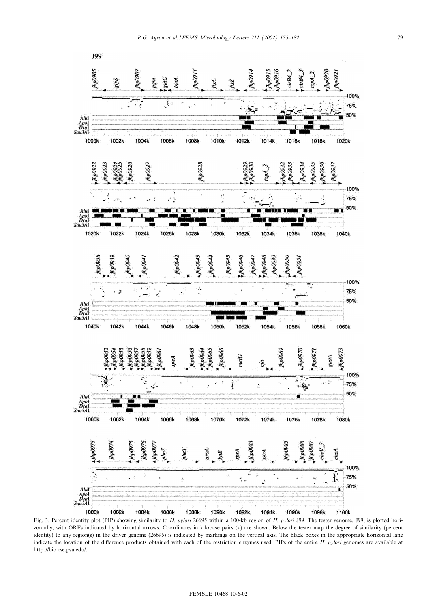

Fig. 3. Percent identity plot (PIP) showing similarity to H. pylori 26695 within a 100-kb region of H. pylori J99. The tester genome, J99, is plotted horizontally, with ORFs indicated by horizontal arrows. Coordinates in kilobase pairs (k) are shown. Below the tester map the degree of similarity (percent identity) to any region(s) in the driver genome (26695) is indicated by markings on the vertical axis. The black boxes in the appropriate horizontal lane indicate the location of the difference products obtained with each of the restriction enzymes used. PIPs of the entire  $H.$  pylori genomes are available at http://bio.cse.psu.edu/.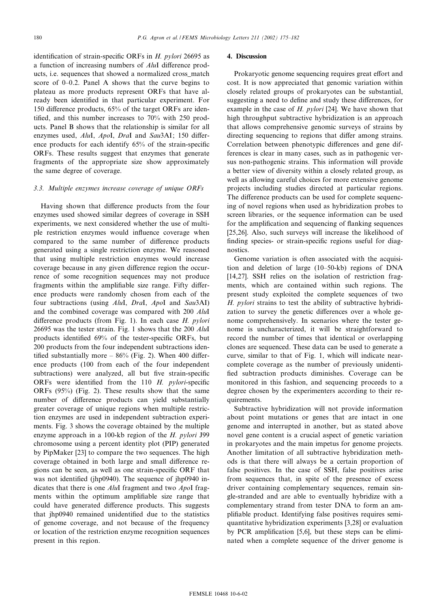identification of strain-specific ORFs in  $H.$  pylori 26695 as a function of increasing numbers of  $AluI$  difference products, i.e. sequences that showed a normalized cross\_match score of  $0-0.2$ . Panel A shows that the curve begins to plateau as more products represent ORFs that have already been identified in that particular experiment. For 150 difference products, 65% of the target ORFs are identified, and this number increases to  $70\%$  with 250 products. Panel B shows that the relationship is similar for all enzymes used, AluI, ApoI, DraI and Sau3AI; 150 difference products for each identify 65% of the strain-specific ORFs. These results suggest that enzymes that generate fragments of the appropriate size show approximately the same degree of coverage.

# 3.3. Multiple enzymes increase coverage of unique ORFs

Having shown that difference products from the four enzymes used showed similar degrees of coverage in SSH experiments, we next considered whether the use of multiple restriction enzymes would influence coverage when compared to the same number of difference products generated using a single restriction enzyme. We reasoned that using multiple restriction enzymes would increase coverage because in any given difference region the occurrence of some recognition sequences may not produce fragments within the amplifiable size range. Fifty difference products were randomly chosen from each of the four subtractions (using AluI, DraI, ApoI and Sau3AI) and the combined coverage was compared with 200 AluI difference products (from Fig. 1). In each case  $H.$  pylori 26695 was the tester strain. Fig. 1 shows that the 200 AluI products identified 69% of the tester-specific ORFs, but 200 products from the four independent subtractions identified substantially more  $- 86\%$  (Fig. 2). When 400 difference products (100 from each of the four independent subtractions) were analyzed, all but five strain-specific ORFs were identified from the 110  $H.$  pylori-specific ORFs (95%) (Fig. 2). These results show that the same number of difference products can yield substantially greater coverage of unique regions when multiple restriction enzymes are used in independent subtraction experiments. Fig. 3 shows the coverage obtained by the multiple enzyme approach in a 100-kb region of the H. pylori J99 chromosome using a percent identity plot (PIP) generated by PipMaker [23] to compare the two sequences. The high coverage obtained in both large and small difference regions can be seen, as well as one strain-specific ORF that was not identified (jhp0940). The sequence of jhp0940 indicates that there is one AluI fragment and two ApoI fragments within the optimum amplifiable size range that could have generated difference products. This suggests that jhp0940 remained unidentified due to the statistics of genome coverage, and not because of the frequency or location of the restriction enzyme recognition sequences present in this region.

### 4. Discussion

Prokaryotic genome sequencing requires great effort and cost. It is now appreciated that genomic variation within closely related groups of prokaryotes can be substantial, suggesting a need to define and study these differences, for example in the case of  $H.$  pylori [24]. We have shown that high throughput subtractive hybridization is an approach that allows comprehensive genomic surveys of strains by directing sequencing to regions that differ among strains. Correlation between phenotypic differences and gene differences is clear in many cases, such as in pathogenic versus non-pathogenic strains. This information will provide a better view of diversity within a closely related group, as well as allowing careful choices for more extensive genome projects including studies directed at particular regions. The difference products can be used for complete sequencing of novel regions when used as hybridization probes to screen libraries, or the sequence information can be used for the amplification and sequencing of flanking sequences [25,26]. Also, such surveys will increase the likelihood of finding species- or strain-specific regions useful for diagnostics.

Genome variation is often associated with the acquisition and deletion of large (10^50-kb) regions of DNA [14,27]. SSH relies on the isolation of restriction fragments, which are contained within such regions. The present study exploited the complete sequences of two H. *pylori* strains to test the ability of subtractive hybridization to survey the genetic differences over a whole genome comprehensively. In scenarios where the tester genome is uncharacterized, it will be straightforward to record the number of times that identical or overlapping clones are sequenced. These data can be used to generate a curve, similar to that of Fig. 1, which will indicate nearcomplete coverage as the number of previously unidenti fied subtraction products diminishes. Coverage can be monitored in this fashion, and sequencing proceeds to a degree chosen by the experimenters according to their requirements.

Subtractive hybridization will not provide information about point mutations or genes that are intact in one genome and interrupted in another, but as stated above novel gene content is a crucial aspect of genetic variation in prokaryotes and the main impetus for genome projects. Another limitation of all subtractive hybridization methods is that there will always be a certain proportion of false positives. In the case of SSH, false positives arise from sequences that, in spite of the presence of excess driver containing complementary sequences, remain single-stranded and are able to eventually hybridize with a complementary strand from tester DNA to form an ampli¢able product. Identifying false positives requires semiquantitative hybridization experiments [3,28] or evaluation by PCR amplification [5,6], but these steps can be eliminated when a complete sequence of the driver genome is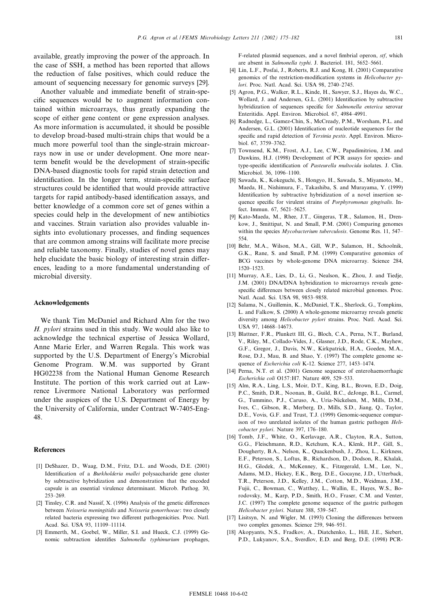available, greatly improving the power of the approach. In the case of SSH, a method has been reported that allows the reduction of false positives, which could reduce the amount of sequencing necessary for genomic surveys [29].

Another valuable and immediate benefit of strain-specific sequences would be to augment information contained within microarrays, thus greatly expanding the scope of either gene content or gene expression analyses. As more information is accumulated, it should be possible to develop broad-based multi-strain chips that would be a much more powerful tool than the single-strain microarrays now in use or under development. One more nearterm benefit would be the development of strain-specific DNA-based diagnostic tools for rapid strain detection and identification. In the longer term, strain-specific surface structures could be identified that would provide attractive targets for rapid antibody-based identification assays, and better knowledge of a common core set of genes within a species could help in the development of new antibiotics and vaccines. Strain variation also provides valuable insights into evolutionary processes, and finding sequences that are common among strains will facilitate more precise and reliable taxonomy. Finally, studies of novel genes may help elucidate the basic biology of interesting strain differences, leading to a more fundamental understanding of microbial diversity.

#### Acknowledgements

We thank Tim McDaniel and Richard Alm for the two H. pylori strains used in this study. We would also like to acknowledge the technical expertise of Jessica Wollard, Anne Marie Erler, and Warren Regala. This work was supported by the U.S. Department of Energy's Microbial Genome Program. W.M. was supported by Grant HG02238 from the National Human Genome Research Institute. The portion of this work carried out at Lawrence Livermore National Laboratory was performed under the auspices of the U.S. Department of Energy by the University of California, under Contract W-7405-Eng-48.

#### References

- [1] DeShazer, D., Waag, D.M., Fritz, D.L. and Woods, D.E. (2001) Identification of a Burkholderia mallei polysaccharide gene cluster by subtractive hybridization and demonstration that the encoded capsule is an essential virulence determinant. Microb. Pathog. 30, 253-269.
- [2] Tinsley, C.R. and Nassif, X. (1996) Analysis of the genetic differences between Neisseria meningitidis and Neisseria gonorrhoeae: two closely related bacteria expressing two different pathogenicities. Proc. Natl. Acad. Sci. USA 93, 11109-11114.
- [3] Emmerth, M., Goebel, W., Miller, S.I. and Hueck, C.J. (1999) Genomic subtraction identifies Salmonella typhimurium prophages,

F-related plasmid sequences, and a novel fimbrial operon, stf, which are absent in Salmonella typhi. J. Bacteriol. 181, 5652-5661.

- [4] Lin, L.F., Posfai, J., Roberts, R.J. and Kong, H. (2001) Comparative genomics of the restriction-modification systems in Helicobacter  $pv$ lori. Proc. Natl. Acad. Sci. USA 98, 2740-2745.
- [5] Agron, P.G., Walker, R.L., Kinde, H., Sawyer, S.J., Hayes da, W.C., Wollard, J. and Andersen, G.L. (2001) Identification by subtractive hybridization of sequences specific for Salmonella enterica serovar Enteritidis. Appl. Environ. Microbiol. 67, 4984^4991.
- [6] Radnedge, L., Gamez-Chin, S., McCready, P.M., Worsham, P.L. and Andersen, G.L. (2001) Identification of nucleotide sequences for the specific and rapid detection of Yersinia pestis. Appl. Environ. Microbiol. 67, 3759-3762.
- [7] Townsend, K.M., Frost, A.J., Lee, C.W., Papadimitriou, J.M. and Dawkins, H.J. (1998) Development of PCR assays for species- and type-specific identification of Pasteurella multocida isolates. J. Clin. Microbiol. 36, 1096-1100.
- [8] Sawada, K., Kokeguchi, S., Hongyo, H., Sawada, S., Miyamoto, M., Maeda, H., Nishimura, F., Takashiba, S. and Murayama, Y. (1999) Identification by subtractive hybridization of a novel insertion sequence specific for virulent strains of *Porphyromonas gingivalis*. Infect. Immun. 67, 5621-5625.
- [9] Kato-Maeda, M., Rhee, J.T., Gingeras, T.R., Salamon, H., Drenkow, J., Smittipat, N. and Small, P.M. (2001) Comparing genomes within the species *Mycobacterium tuberculosis*. Genome Res. 11, 547-554.
- [10] Behr, M.A., Wilson, M.A., Gill, W.P., Salamon, H., Schoolnik, G.K., Rane, S. and Small, P.M. (1999) Comparative genomics of BCG vaccines by whole-genome DNA microarray. Science 284, 1520^1523.
- [11] Murray, A.E., Lies, D., Li, G., Nealson, K., Zhou, J. and Tiedje, J.M. (2001) DNA/DNA hybridization to microarrays reveals genespecific differences between closely related microbial genomes. Proc. Natl. Acad. Sci. USA 98, 9853^9858.
- [12] Salama, N., Guillemin, K., McDaniel, T.K., Sherlock, G., Tompkins, L. and Falkow, S. (2000) A whole-genome microarray reveals genetic diversity among Helicobacter pylori strains. Proc. Natl. Acad. Sci. USA 97, 14668-14673.
- [13] Blattner, F.R., Plunkett III, G., Bloch, C.A., Perna, N.T., Burland, V., Riley, M., Collado-Vides, J., Glasner, J.D., Rode, C.K., Mayhew, G.F., Gregor, J., Davis, N.W., Kirkpatrick, H.A., Goeden, M.A., Rose, D.J., Mau, B. and Shao, Y. (1997) The complete genome sequence of Escherichia coli K-12. Science 277, 1453-1474.
- [14] Perna, N.T. et al. (2001) Genome sequence of enterohaemorrhagic Escherichia coli O157:H7. Nature 409, 529^533.
- [15] Alm, R.A., Ling, L.S., Moir, D.T., King, B.L., Brown, E.D., Doig, P.C., Smith, D.R., Noonan, B., Guild, B.C., deJonge, B.L., Carmel, G., Tummino, P.J., Caruso, A., Uria-Nickelsen, M., Mills, D.M., Ives, C., Gibson, R., Merberg, D., Mills, S.D., Jiang, Q., Taylor, D.E., Vovis, G.F. and Trust, T.J. (1999) Genomic-sequence comparison of two unrelated isolates of the human gastric pathogen Helicobacter pylori. Nature 397, 176-180.
- [16] Tomb, J.F., White, O., Kerlavage, A.R., Clayton, R.A., Sutton, G.G., Fleischmann, R.D., Ketchum, K.A., Klenk, H.P., Gill, S., Dougherty, B.A., Nelson, K., Quackenbush, J., Zhou, L., Kirkness, E.F., Peterson, S., Loftus, B., Richardson, D., Dodson, R., Khalak, H.G., Glodek, A., McKenney, K., Fitzegerald, L.M., Lee, N., Adams, M.D., Hickey, E.K., Berg, D.E., Gocayne, J.D., Utterback, T.R., Peterson, J.D., Kelley, J.M., Cotton, M.D., Weidman, J.M., Fujii, C., Bowman, C., Watthey, L., Wallin, E., Hayes, W.S., Borodovsky, M., Karp, P.D., Smith, H.O., Fraser, C.M. and Venter, J.C. (1997) The complete genome sequence of the gastric pathogen Helicobacter pylori. Nature 388, 539-547.
- [17] Lisitsyn, N. and Wigler, M. (1993) Cloning the differences between two complex genomes. Science 259, 946-951.
- [18] Akopyants, N.S., Fradkov, A., Diatchenko, L., Hill, J.E., Siebert, P.D., Lukyanov, S.A., Sverdlov, E.D. and Berg, D.E. (1998) PCR-